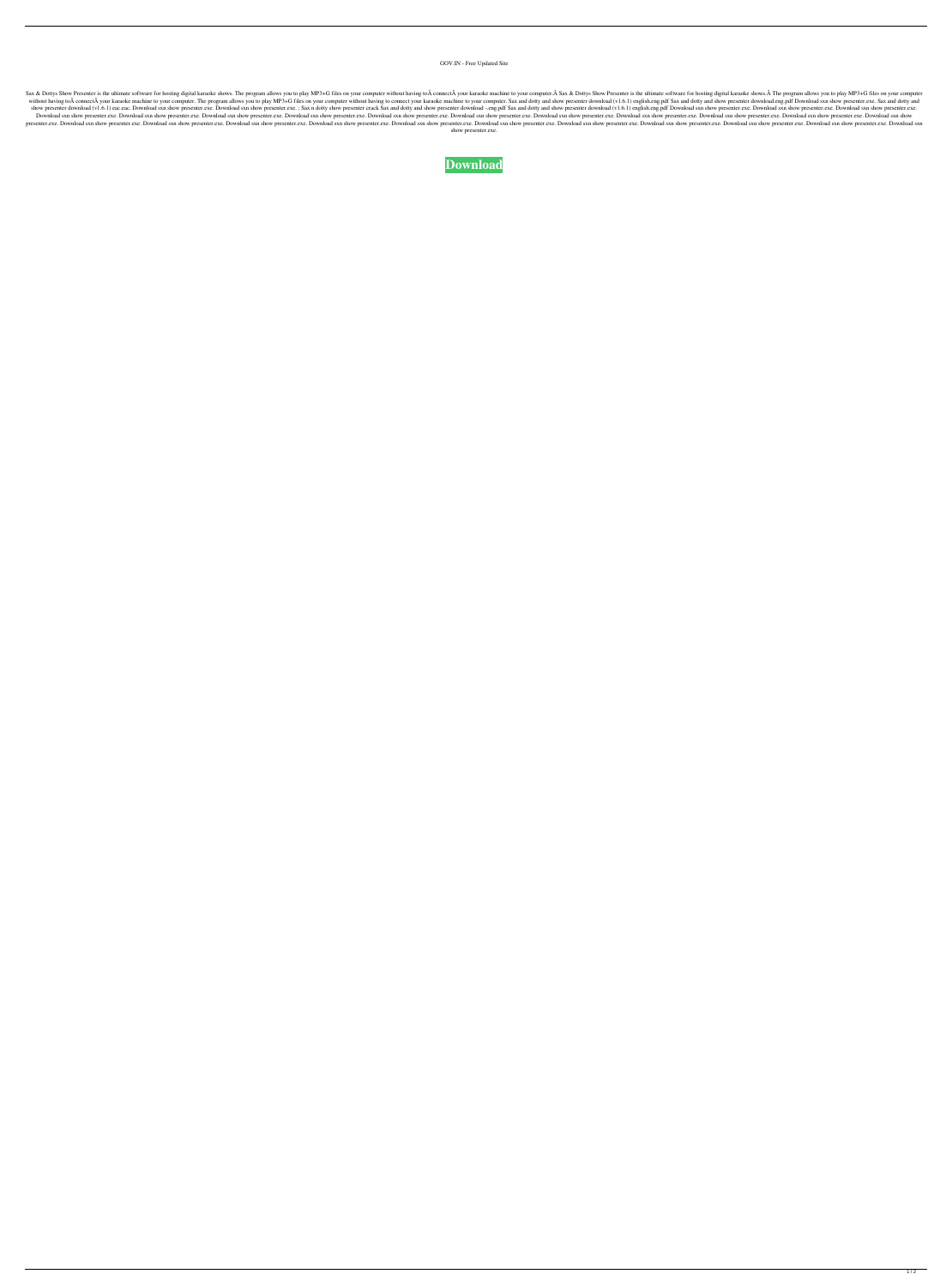GOV.IN - Free Updated Site

Sax & Dottys Show Presenter is the ultimate software for hosting digital karaoke shows. The program allows you to play MP3+G files on your computer without having to connect your karaoke machine to your computer. Sax & without having to A connect A your karaoke machine to your computer. The program allows you to play MP3+G files on your computer without having to connect your karaoke machine to your computer. Sax and dotty and show prese show presenter download (v1.6.1) eac.eac. Download sxn show presenter.exe. Download sxn show presenter.exe. Sax n dotty show presenter crack Sax and dotty and show presenter download (v1.6.1) english.eng.pdf Download sxn s Download sxn show presenter.exe. Download sxn show presenter.exe. Download sxn show presenter.exe. Download sxn show presenter.exe. Download sxn show presenter.exe. Download sxn show presenter.exe. Download sxn show presen presenter.exe. Download sxn show presenter.exe. Download sxn show presenter.exe. Download sxn show presenter.exe. Download sxn show presenter.exe. Download sxn show presenter.exe. Download sxn show presenter.exe. Download show presenter.exe.